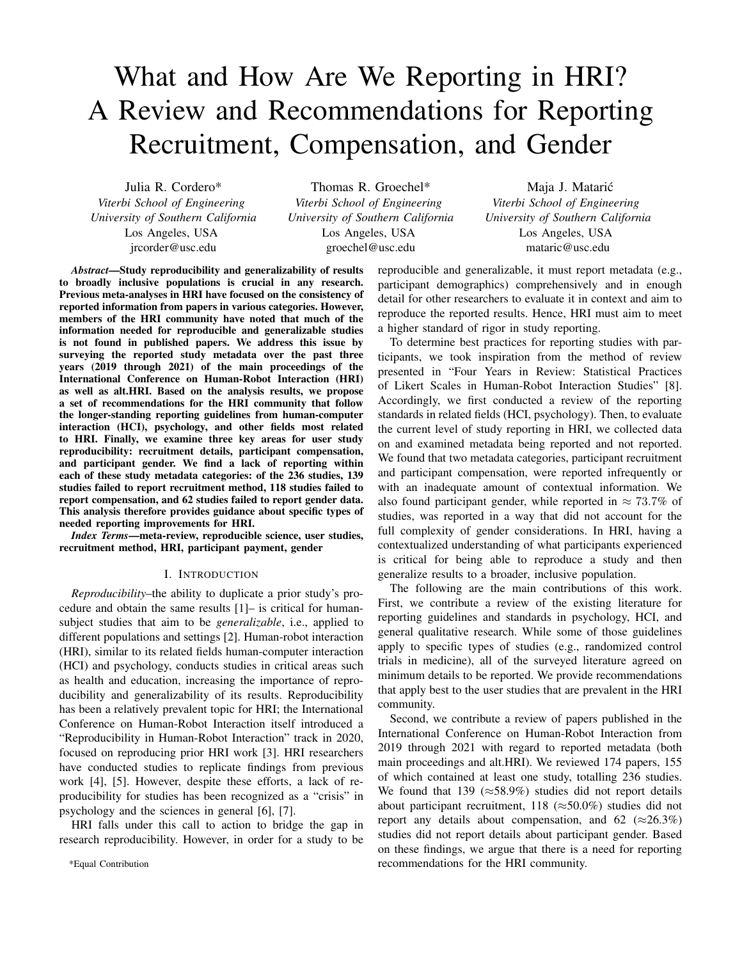# What and How Are We Reporting in HRI? A Review and Recommendations for Reporting Recruitment, Compensation, and Gender

Julia R. Cordero\* *Viterbi School of Engineering University of Southern California* Los Angeles, USA jrcorder@usc.edu

Thomas R. Groechel\* *Viterbi School of Engineering University of Southern California* Los Angeles, USA groechel@usc.edu

*Abstract*—Study reproducibility and generalizability of results to broadly inclusive populations is crucial in any research. Previous meta-analyses in HRI have focused on the consistency of reported information from papers in various categories. However, members of the HRI community have noted that much of the information needed for reproducible and generalizable studies is not found in published papers. We address this issue by surveying the reported study metadata over the past three years (2019 through 2021) of the main proceedings of the International Conference on Human-Robot Interaction (HRI) as well as alt.HRI. Based on the analysis results, we propose a set of recommendations for the HRI community that follow the longer-standing reporting guidelines from human-computer interaction (HCI), psychology, and other fields most related to HRI. Finally, we examine three key areas for user study reproducibility: recruitment details, participant compensation, and participant gender. We find a lack of reporting within each of these study metadata categories: of the 236 studies, 139 studies failed to report recruitment method, 118 studies failed to report compensation, and 62 studies failed to report gender data. This analysis therefore provides guidance about specific types of needed reporting improvements for HRI.

*Index Terms*—meta-review, reproducible science, user studies, recruitment method, HRI, participant payment, gender

#### I. INTRODUCTION

*Reproducibility*–the ability to duplicate a prior study's procedure and obtain the same results [1]– is critical for humansubject studies that aim to be *generalizable*, i.e., applied to different populations and settings [2]. Human-robot interaction (HRI), similar to its related fields human-computer interaction (HCI) and psychology, conducts studies in critical areas such as health and education, increasing the importance of reproducibility and generalizability of its results. Reproducibility has been a relatively prevalent topic for HRI; the International Conference on Human-Robot Interaction itself introduced a "Reproducibility in Human-Robot Interaction" track in 2020, focused on reproducing prior HRI work [3]. HRI researchers have conducted studies to replicate findings from previous work [4], [5]. However, despite these efforts, a lack of reproducibility for studies has been recognized as a "crisis" in psychology and the sciences in general [6], [7].

HRI falls under this call to action to bridge the gap in research reproducibility. However, in order for a study to be

\*Equal Contribution

Maja J. Mataric´ *Viterbi School of Engineering University of Southern California* Los Angeles, USA mataric@usc.edu

reproducible and generalizable, it must report metadata (e.g., participant demographics) comprehensively and in enough detail for other researchers to evaluate it in context and aim to reproduce the reported results. Hence, HRI must aim to meet a higher standard of rigor in study reporting.

To determine best practices for reporting studies with participants, we took inspiration from the method of review presented in "Four Years in Review: Statistical Practices of Likert Scales in Human-Robot Interaction Studies" [8]. Accordingly, we first conducted a review of the reporting standards in related fields (HCI, psychology). Then, to evaluate the current level of study reporting in HRI, we collected data on and examined metadata being reported and not reported. We found that two metadata categories, participant recruitment and participant compensation, were reported infrequently or with an inadequate amount of contextual information. We also found participant gender, while reported in  $\approx 73.7\%$  of studies, was reported in a way that did not account for the full complexity of gender considerations. In HRI, having a contextualized understanding of what participants experienced is critical for being able to reproduce a study and then generalize results to a broader, inclusive population.

The following are the main contributions of this work. First, we contribute a review of the existing literature for reporting guidelines and standards in psychology, HCI, and general qualitative research. While some of those guidelines apply to specific types of studies (e.g., randomized control trials in medicine), all of the surveyed literature agreed on minimum details to be reported. We provide recommendations that apply best to the user studies that are prevalent in the HRI community.

Second, we contribute a review of papers published in the International Conference on Human-Robot Interaction from 2019 through 2021 with regard to reported metadata (both main proceedings and alt.HRI). We reviewed 174 papers, 155 of which contained at least one study, totalling 236 studies. We found that 139 ( $\approx$ 58.9%) studies did not report details about participant recruitment, 118 ( $\approx$ 50.0%) studies did not report any details about compensation, and 62 ( $\approx$ 26.3%) studies did not report details about participant gender. Based on these findings, we argue that there is a need for reporting recommendations for the HRI community.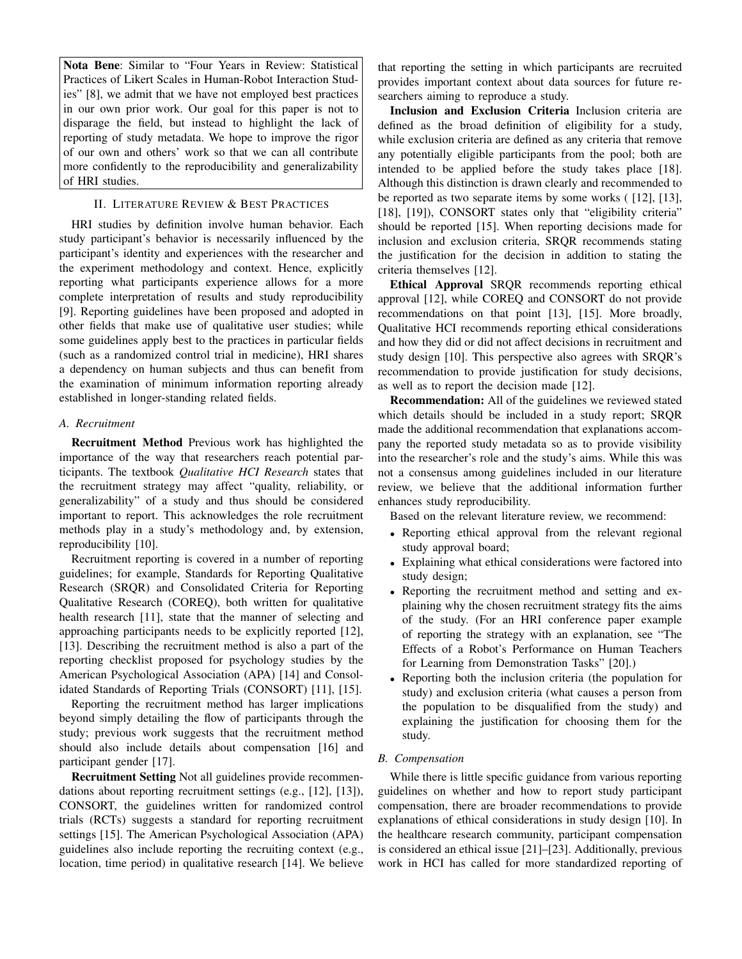Nota Bene: Similar to "Four Years in Review: Statistical Practices of Likert Scales in Human-Robot Interaction Studies" [8], we admit that we have not employed best practices in our own prior work. Our goal for this paper is not to disparage the field, but instead to highlight the lack of reporting of study metadata. We hope to improve the rigor of our own and others' work so that we can all contribute more confidently to the reproducibility and generalizability of HRI studies.

## II. LITERATURE REVIEW & BEST PRACTICES

HRI studies by definition involve human behavior. Each study participant's behavior is necessarily influenced by the participant's identity and experiences with the researcher and the experiment methodology and context. Hence, explicitly reporting what participants experience allows for a more complete interpretation of results and study reproducibility [9]. Reporting guidelines have been proposed and adopted in other fields that make use of qualitative user studies; while some guidelines apply best to the practices in particular fields (such as a randomized control trial in medicine), HRI shares a dependency on human subjects and thus can benefit from the examination of minimum information reporting already established in longer-standing related fields.

#### *A. Recruitment*

Recruitment Method Previous work has highlighted the importance of the way that researchers reach potential participants. The textbook *Qualitative HCI Research* states that the recruitment strategy may affect "quality, reliability, or generalizability" of a study and thus should be considered important to report. This acknowledges the role recruitment methods play in a study's methodology and, by extension, reproducibility [10].

Recruitment reporting is covered in a number of reporting guidelines; for example, Standards for Reporting Qualitative Research (SRQR) and Consolidated Criteria for Reporting Qualitative Research (COREQ), both written for qualitative health research [11], state that the manner of selecting and approaching participants needs to be explicitly reported [12], [13]. Describing the recruitment method is also a part of the reporting checklist proposed for psychology studies by the American Psychological Association (APA) [14] and Consolidated Standards of Reporting Trials (CONSORT) [11], [15].

Reporting the recruitment method has larger implications beyond simply detailing the flow of participants through the study; previous work suggests that the recruitment method should also include details about compensation [16] and participant gender [17].

Recruitment Setting Not all guidelines provide recommendations about reporting recruitment settings (e.g., [12], [13]), CONSORT, the guidelines written for randomized control trials (RCTs) suggests a standard for reporting recruitment settings [15]. The American Psychological Association (APA) guidelines also include reporting the recruiting context (e.g., location, time period) in qualitative research [14]. We believe that reporting the setting in which participants are recruited provides important context about data sources for future researchers aiming to reproduce a study.

Inclusion and Exclusion Criteria Inclusion criteria are defined as the broad definition of eligibility for a study, while exclusion criteria are defined as any criteria that remove any potentially eligible participants from the pool; both are intended to be applied before the study takes place [18]. Although this distinction is drawn clearly and recommended to be reported as two separate items by some works ( [12], [13], [18], [19]), CONSORT states only that "eligibility criteria" should be reported [15]. When reporting decisions made for inclusion and exclusion criteria, SRQR recommends stating the justification for the decision in addition to stating the criteria themselves [12].

Ethical Approval SRQR recommends reporting ethical approval [12], while COREQ and CONSORT do not provide recommendations on that point [13], [15]. More broadly, Qualitative HCI recommends reporting ethical considerations and how they did or did not affect decisions in recruitment and study design [10]. This perspective also agrees with SRQR's recommendation to provide justification for study decisions, as well as to report the decision made [12].

Recommendation: All of the guidelines we reviewed stated which details should be included in a study report; SRQR made the additional recommendation that explanations accompany the reported study metadata so as to provide visibility into the researcher's role and the study's aims. While this was not a consensus among guidelines included in our literature review, we believe that the additional information further enhances study reproducibility.

Based on the relevant literature review, we recommend:

- Reporting ethical approval from the relevant regional study approval board;
- Explaining what ethical considerations were factored into study design;
- Reporting the recruitment method and setting and explaining why the chosen recruitment strategy fits the aims of the study. (For an HRI conference paper example of reporting the strategy with an explanation, see "The Effects of a Robot's Performance on Human Teachers for Learning from Demonstration Tasks" [20].)
- Reporting both the inclusion criteria (the population for study) and exclusion criteria (what causes a person from the population to be disqualified from the study) and explaining the justification for choosing them for the study.

## *B. Compensation*

While there is little specific guidance from various reporting guidelines on whether and how to report study participant compensation, there are broader recommendations to provide explanations of ethical considerations in study design [10]. In the healthcare research community, participant compensation is considered an ethical issue [21]–[23]. Additionally, previous work in HCI has called for more standardized reporting of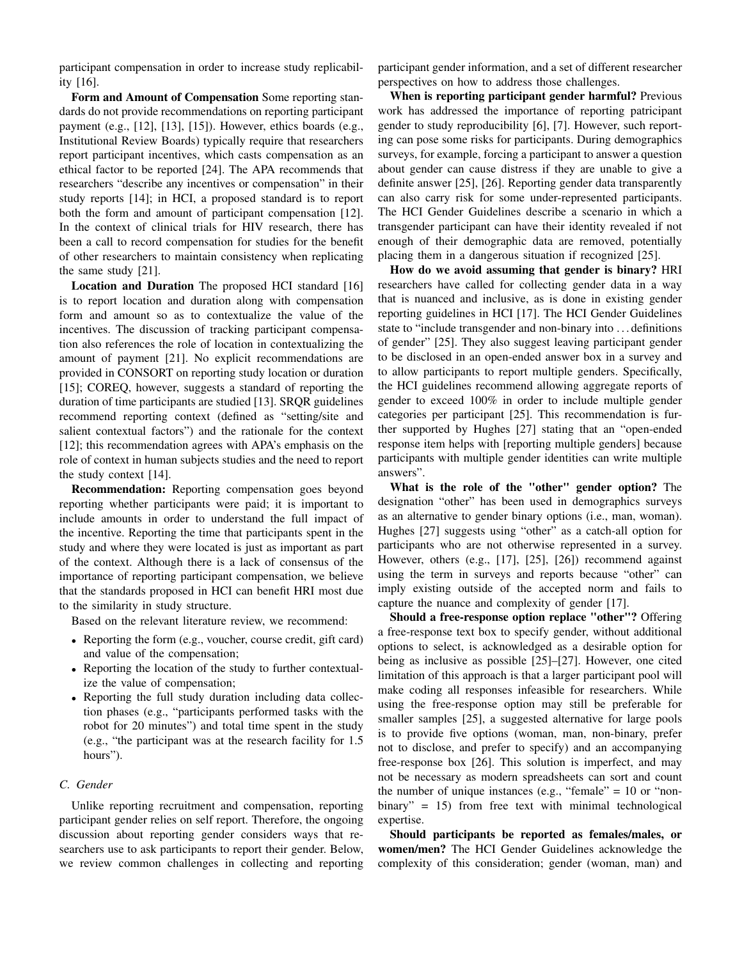participant compensation in order to increase study replicability [16].

Form and Amount of Compensation Some reporting standards do not provide recommendations on reporting participant payment (e.g., [12], [13], [15]). However, ethics boards (e.g., Institutional Review Boards) typically require that researchers report participant incentives, which casts compensation as an ethical factor to be reported [24]. The APA recommends that researchers "describe any incentives or compensation" in their study reports [14]; in HCI, a proposed standard is to report both the form and amount of participant compensation [12]. In the context of clinical trials for HIV research, there has been a call to record compensation for studies for the benefit of other researchers to maintain consistency when replicating the same study [21].

Location and Duration The proposed HCI standard [16] is to report location and duration along with compensation form and amount so as to contextualize the value of the incentives. The discussion of tracking participant compensation also references the role of location in contextualizing the amount of payment [21]. No explicit recommendations are provided in CONSORT on reporting study location or duration [15]; COREQ, however, suggests a standard of reporting the duration of time participants are studied [13]. SRQR guidelines recommend reporting context (defined as "setting/site and salient contextual factors") and the rationale for the context [12]; this recommendation agrees with APA's emphasis on the role of context in human subjects studies and the need to report the study context [14].

Recommendation: Reporting compensation goes beyond reporting whether participants were paid; it is important to include amounts in order to understand the full impact of the incentive. Reporting the time that participants spent in the study and where they were located is just as important as part of the context. Although there is a lack of consensus of the importance of reporting participant compensation, we believe that the standards proposed in HCI can benefit HRI most due to the similarity in study structure.

Based on the relevant literature review, we recommend:

- Reporting the form (e.g., voucher, course credit, gift card) and value of the compensation;
- Reporting the location of the study to further contextualize the value of compensation;
- Reporting the full study duration including data collection phases (e.g., "participants performed tasks with the robot for 20 minutes") and total time spent in the study (e.g., "the participant was at the research facility for 1.5 hours").

# *C. Gender*

Unlike reporting recruitment and compensation, reporting participant gender relies on self report. Therefore, the ongoing discussion about reporting gender considers ways that researchers use to ask participants to report their gender. Below, we review common challenges in collecting and reporting

participant gender information, and a set of different researcher perspectives on how to address those challenges.

When is reporting participant gender harmful? Previous work has addressed the importance of reporting patricipant gender to study reproducibility [6], [7]. However, such reporting can pose some risks for participants. During demographics surveys, for example, forcing a participant to answer a question about gender can cause distress if they are unable to give a definite answer [25], [26]. Reporting gender data transparently can also carry risk for some under-represented participants. The HCI Gender Guidelines describe a scenario in which a transgender participant can have their identity revealed if not enough of their demographic data are removed, potentially placing them in a dangerous situation if recognized [25].

How do we avoid assuming that gender is binary? HRI researchers have called for collecting gender data in a way that is nuanced and inclusive, as is done in existing gender reporting guidelines in HCI [17]. The HCI Gender Guidelines state to "include transgender and non-binary into . . . definitions of gender" [25]. They also suggest leaving participant gender to be disclosed in an open-ended answer box in a survey and to allow participants to report multiple genders. Specifically, the HCI guidelines recommend allowing aggregate reports of gender to exceed 100% in order to include multiple gender categories per participant [25]. This recommendation is further supported by Hughes [27] stating that an "open-ended response item helps with [reporting multiple genders] because participants with multiple gender identities can write multiple answers".

What is the role of the "other" gender option? The designation "other" has been used in demographics surveys as an alternative to gender binary options (i.e., man, woman). Hughes [27] suggests using "other" as a catch-all option for participants who are not otherwise represented in a survey. However, others (e.g., [17], [25], [26]) recommend against using the term in surveys and reports because "other" can imply existing outside of the accepted norm and fails to capture the nuance and complexity of gender [17].

Should a free-response option replace "other"? Offering a free-response text box to specify gender, without additional options to select, is acknowledged as a desirable option for being as inclusive as possible [25]–[27]. However, one cited limitation of this approach is that a larger participant pool will make coding all responses infeasible for researchers. While using the free-response option may still be preferable for smaller samples [25], a suggested alternative for large pools is to provide five options (woman, man, non-binary, prefer not to disclose, and prefer to specify) and an accompanying free-response box [26]. This solution is imperfect, and may not be necessary as modern spreadsheets can sort and count the number of unique instances (e.g., "female"  $= 10$  or "nonbinary" = 15) from free text with minimal technological expertise.

Should participants be reported as females/males, or women/men? The HCI Gender Guidelines acknowledge the complexity of this consideration; gender (woman, man) and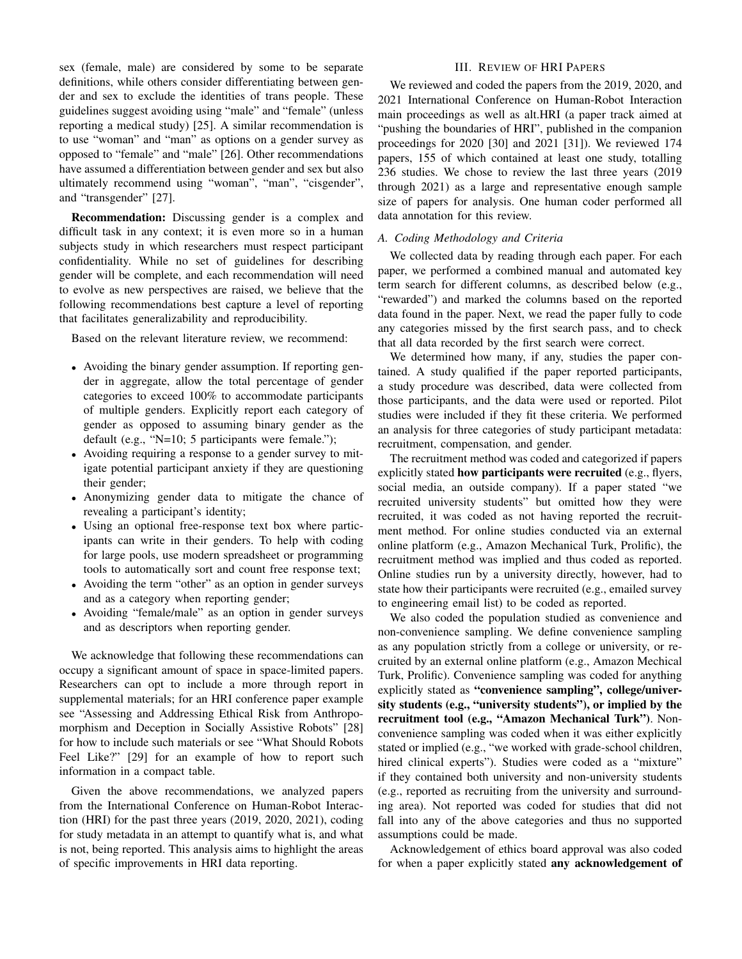sex (female, male) are considered by some to be separate definitions, while others consider differentiating between gender and sex to exclude the identities of trans people. These guidelines suggest avoiding using "male" and "female" (unless reporting a medical study) [25]. A similar recommendation is to use "woman" and "man" as options on a gender survey as opposed to "female" and "male" [26]. Other recommendations have assumed a differentiation between gender and sex but also ultimately recommend using "woman", "man", "cisgender", and "transgender" [27].

Recommendation: Discussing gender is a complex and difficult task in any context; it is even more so in a human subjects study in which researchers must respect participant confidentiality. While no set of guidelines for describing gender will be complete, and each recommendation will need to evolve as new perspectives are raised, we believe that the following recommendations best capture a level of reporting that facilitates generalizability and reproducibility.

Based on the relevant literature review, we recommend:

- Avoiding the binary gender assumption. If reporting gender in aggregate, allow the total percentage of gender categories to exceed 100% to accommodate participants of multiple genders. Explicitly report each category of gender as opposed to assuming binary gender as the default (e.g., "N=10; 5 participants were female.");
- Avoiding requiring a response to a gender survey to mitigate potential participant anxiety if they are questioning their gender;
- Anonymizing gender data to mitigate the chance of revealing a participant's identity;
- Using an optional free-response text box where participants can write in their genders. To help with coding for large pools, use modern spreadsheet or programming tools to automatically sort and count free response text;
- Avoiding the term "other" as an option in gender surveys and as a category when reporting gender;
- Avoiding "female/male" as an option in gender surveys and as descriptors when reporting gender.

We acknowledge that following these recommendations can occupy a significant amount of space in space-limited papers. Researchers can opt to include a more through report in supplemental materials; for an HRI conference paper example see "Assessing and Addressing Ethical Risk from Anthropomorphism and Deception in Socially Assistive Robots" [28] for how to include such materials or see "What Should Robots Feel Like?" [29] for an example of how to report such information in a compact table.

Given the above recommendations, we analyzed papers from the International Conference on Human-Robot Interaction (HRI) for the past three years (2019, 2020, 2021), coding for study metadata in an attempt to quantify what is, and what is not, being reported. This analysis aims to highlight the areas of specific improvements in HRI data reporting.

# III. REVIEW OF HRI PAPERS

We reviewed and coded the papers from the 2019, 2020, and 2021 International Conference on Human-Robot Interaction main proceedings as well as alt.HRI (a paper track aimed at "pushing the boundaries of HRI", published in the companion proceedings for 2020 [30] and 2021 [31]). We reviewed 174 papers, 155 of which contained at least one study, totalling 236 studies. We chose to review the last three years (2019 through 2021) as a large and representative enough sample size of papers for analysis. One human coder performed all data annotation for this review.

## *A. Coding Methodology and Criteria*

We collected data by reading through each paper. For each paper, we performed a combined manual and automated key term search for different columns, as described below (e.g., "rewarded") and marked the columns based on the reported data found in the paper. Next, we read the paper fully to code any categories missed by the first search pass, and to check that all data recorded by the first search were correct.

We determined how many, if any, studies the paper contained. A study qualified if the paper reported participants, a study procedure was described, data were collected from those participants, and the data were used or reported. Pilot studies were included if they fit these criteria. We performed an analysis for three categories of study participant metadata: recruitment, compensation, and gender.

The recruitment method was coded and categorized if papers explicitly stated how participants were recruited (e.g., flyers, social media, an outside company). If a paper stated "we recruited university students" but omitted how they were recruited, it was coded as not having reported the recruitment method. For online studies conducted via an external online platform (e.g., Amazon Mechanical Turk, Prolific), the recruitment method was implied and thus coded as reported. Online studies run by a university directly, however, had to state how their participants were recruited (e.g., emailed survey to engineering email list) to be coded as reported.

We also coded the population studied as convenience and non-convenience sampling. We define convenience sampling as any population strictly from a college or university, or recruited by an external online platform (e.g., Amazon Mechical Turk, Prolific). Convenience sampling was coded for anything explicitly stated as "convenience sampling", college/university students (e.g., "university students"), or implied by the recruitment tool (e.g., "Amazon Mechanical Turk"). Nonconvenience sampling was coded when it was either explicitly stated or implied (e.g., "we worked with grade-school children, hired clinical experts"). Studies were coded as a "mixture" if they contained both university and non-university students (e.g., reported as recruiting from the university and surrounding area). Not reported was coded for studies that did not fall into any of the above categories and thus no supported assumptions could be made.

Acknowledgement of ethics board approval was also coded for when a paper explicitly stated any acknowledgement of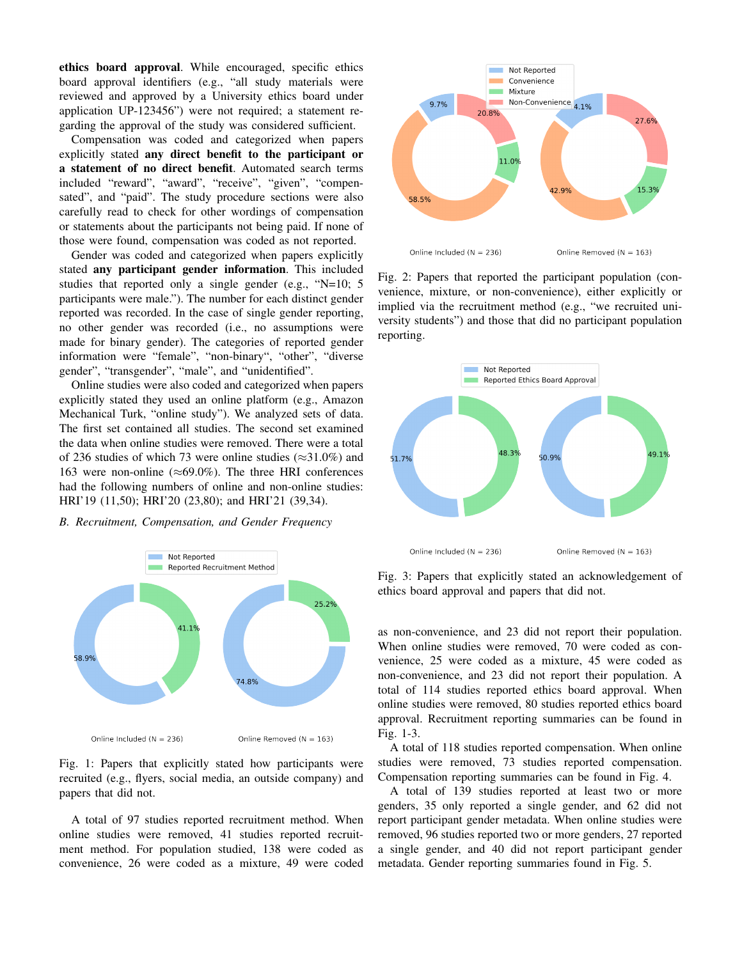ethics board approval. While encouraged, specific ethics board approval identifiers (e.g., "all study materials were reviewed and approved by a University ethics board under application UP-123456") were not required; a statement regarding the approval of the study was considered sufficient.

Compensation was coded and categorized when papers explicitly stated any direct benefit to the participant or a statement of no direct benefit. Automated search terms included "reward", "award", "receive", "given", "compensated", and "paid". The study procedure sections were also carefully read to check for other wordings of compensation or statements about the participants not being paid. If none of those were found, compensation was coded as not reported.

Gender was coded and categorized when papers explicitly stated any participant gender information. This included studies that reported only a single gender (e.g., "N=10; 5 participants were male."). The number for each distinct gender reported was recorded. In the case of single gender reporting, no other gender was recorded (i.e., no assumptions were made for binary gender). The categories of reported gender information were "female", "non-binary", "other", "diverse gender", "transgender", "male", and "unidentified".

Online studies were also coded and categorized when papers explicitly stated they used an online platform (e.g., Amazon Mechanical Turk, "online study"). We analyzed sets of data. The first set contained all studies. The second set examined the data when online studies were removed. There were a total of 236 studies of which 73 were online studies ( $\approx$ 31.0%) and 163 were non-online ( $\approx 69.0\%$ ). The three HRI conferences had the following numbers of online and non-online studies: HRI'19 (11,50); HRI'20 (23,80); and HRI'21 (39,34).

# *B. Recruitment, Compensation, and Gender Frequency*



Fig. 1: Papers that explicitly stated how participants were recruited (e.g., flyers, social media, an outside company) and papers that did not.

A total of 97 studies reported recruitment method. When online studies were removed, 41 studies reported recruitment method. For population studied, 138 were coded as convenience, 26 were coded as a mixture, 49 were coded



Fig. 2: Papers that reported the participant population (convenience, mixture, or non-convenience), either explicitly or implied via the recruitment method (e.g., "we recruited university students") and those that did no participant population reporting.



Fig. 3: Papers that explicitly stated an acknowledgement of ethics board approval and papers that did not.

as non-convenience, and 23 did not report their population. When online studies were removed, 70 were coded as convenience, 25 were coded as a mixture, 45 were coded as non-convenience, and 23 did not report their population. A total of 114 studies reported ethics board approval. When online studies were removed, 80 studies reported ethics board approval. Recruitment reporting summaries can be found in Fig. 1-3.

A total of 118 studies reported compensation. When online studies were removed, 73 studies reported compensation. Compensation reporting summaries can be found in Fig. 4.

A total of 139 studies reported at least two or more genders, 35 only reported a single gender, and 62 did not report participant gender metadata. When online studies were removed, 96 studies reported two or more genders, 27 reported a single gender, and 40 did not report participant gender metadata. Gender reporting summaries found in Fig. 5.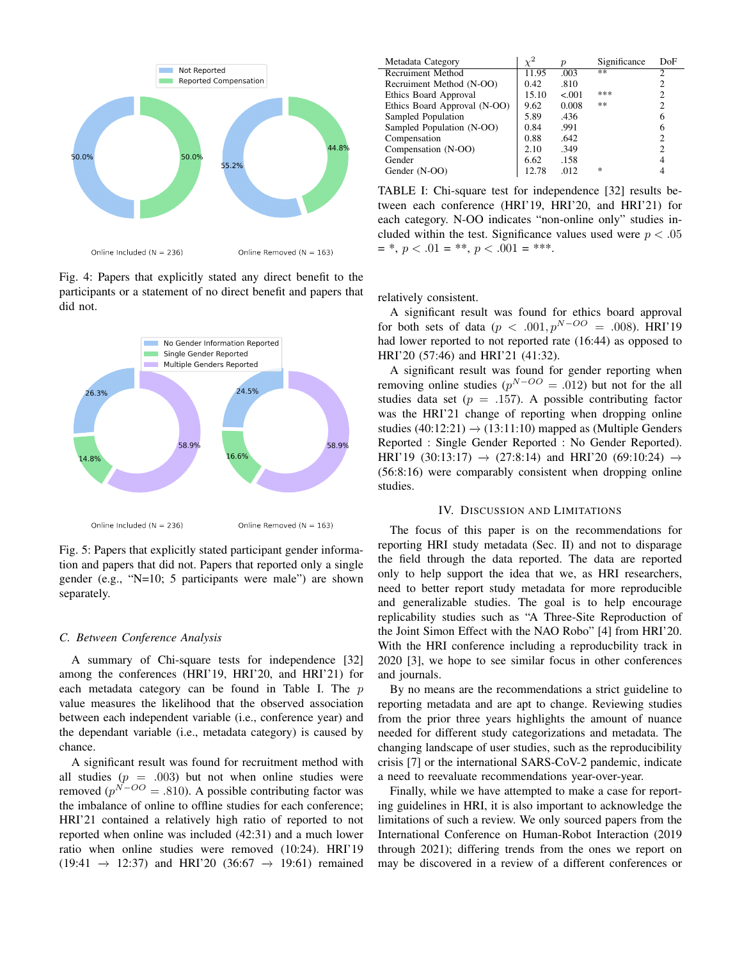

Fig. 4: Papers that explicitly stated any direct benefit to the participants or a statement of no direct benefit and papers that did not.



Fig. 5: Papers that explicitly stated participant gender information and papers that did not. Papers that reported only a single gender (e.g., "N=10; 5 participants were male") are shown separately.

## *C. Between Conference Analysis*

A summary of Chi-square tests for independence [32] among the conferences (HRI'19, HRI'20, and HRI'21) for each metadata category can be found in Table I. The p value measures the likelihood that the observed association between each independent variable (i.e., conference year) and the dependant variable (i.e., metadata category) is caused by chance.

A significant result was found for recruitment method with all studies  $(p = .003)$  but not when online studies were removed ( $p^{N-OO} = .810$ ). A possible contributing factor was the imbalance of online to offline studies for each conference; HRI'21 contained a relatively high ratio of reported to not reported when online was included (42:31) and a much lower ratio when online studies were removed (10:24). HRI'19  $(19:41 \rightarrow 12:37)$  and HRI'20  $(36:67 \rightarrow 19:61)$  remained

| Metadata Category            |       | р       | Significance | DoF |
|------------------------------|-------|---------|--------------|-----|
| Recruiment Method            | 11.95 | .003    | **           | っ   |
| Recruiment Method (N-OO)     | 0.42  | .810    |              | 2   |
| Ethics Board Approval        | 15.10 | < 0.001 | ***          | 2   |
| Ethics Board Approval (N-OO) | 9.62  | 0.008   | **           | 2   |
| Sampled Population           | 5.89  | .436    |              | 6   |
| Sampled Population (N-OO)    | 0.84  | .991    |              | 6   |
| Compensation                 | 0.88  | .642    |              | 2   |
| Compensation (N-OO)          | 2.10  | .349    |              | 2   |
| Gender                       | 6.62  | .158    |              | 4   |
| Gender (N-OO)                | 12.78 | .012    | 冰            |     |

TABLE I: Chi-square test for independence [32] results between each conference (HRI'19, HRI'20, and HRI'21) for each category. N-OO indicates "non-online only" studies included within the test. Significance values used were  $p < .05$  $=$  \*,  $p < .01 =$  \*\*,  $p < .001 =$  \*\*\*.

relatively consistent.

A significant result was found for ethics board approval for both sets of data ( $p < .001, p^{N-OO} = .008$ ). HRI'19 had lower reported to not reported rate (16:44) as opposed to HRI'20 (57:46) and HRI'21 (41:32).

A significant result was found for gender reporting when removing online studies  $(p^{N-OO} = .012)$  but not for the all studies data set ( $p = .157$ ). A possible contributing factor was the HRI'21 change of reporting when dropping online studies  $(40:12:21) \rightarrow (13:11:10)$  mapped as (Multiple Genders Reported : Single Gender Reported : No Gender Reported). HRI'19 (30:13:17)  $\rightarrow$  (27:8:14) and HRI'20 (69:10:24)  $\rightarrow$ (56:8:16) were comparably consistent when dropping online studies.

#### IV. DISCUSSION AND LIMITATIONS

The focus of this paper is on the recommendations for reporting HRI study metadata (Sec. II) and not to disparage the field through the data reported. The data are reported only to help support the idea that we, as HRI researchers, need to better report study metadata for more reproducible and generalizable studies. The goal is to help encourage replicability studies such as "A Three-Site Reproduction of the Joint Simon Effect with the NAO Robo" [4] from HRI'20. With the HRI conference including a reproducbility track in 2020 [3], we hope to see similar focus in other conferences and journals.

By no means are the recommendations a strict guideline to reporting metadata and are apt to change. Reviewing studies from the prior three years highlights the amount of nuance needed for different study categorizations and metadata. The changing landscape of user studies, such as the reproducibility crisis [7] or the international SARS-CoV-2 pandemic, indicate a need to reevaluate recommendations year-over-year.

Finally, while we have attempted to make a case for reporting guidelines in HRI, it is also important to acknowledge the limitations of such a review. We only sourced papers from the International Conference on Human-Robot Interaction (2019 through 2021); differing trends from the ones we report on may be discovered in a review of a different conferences or